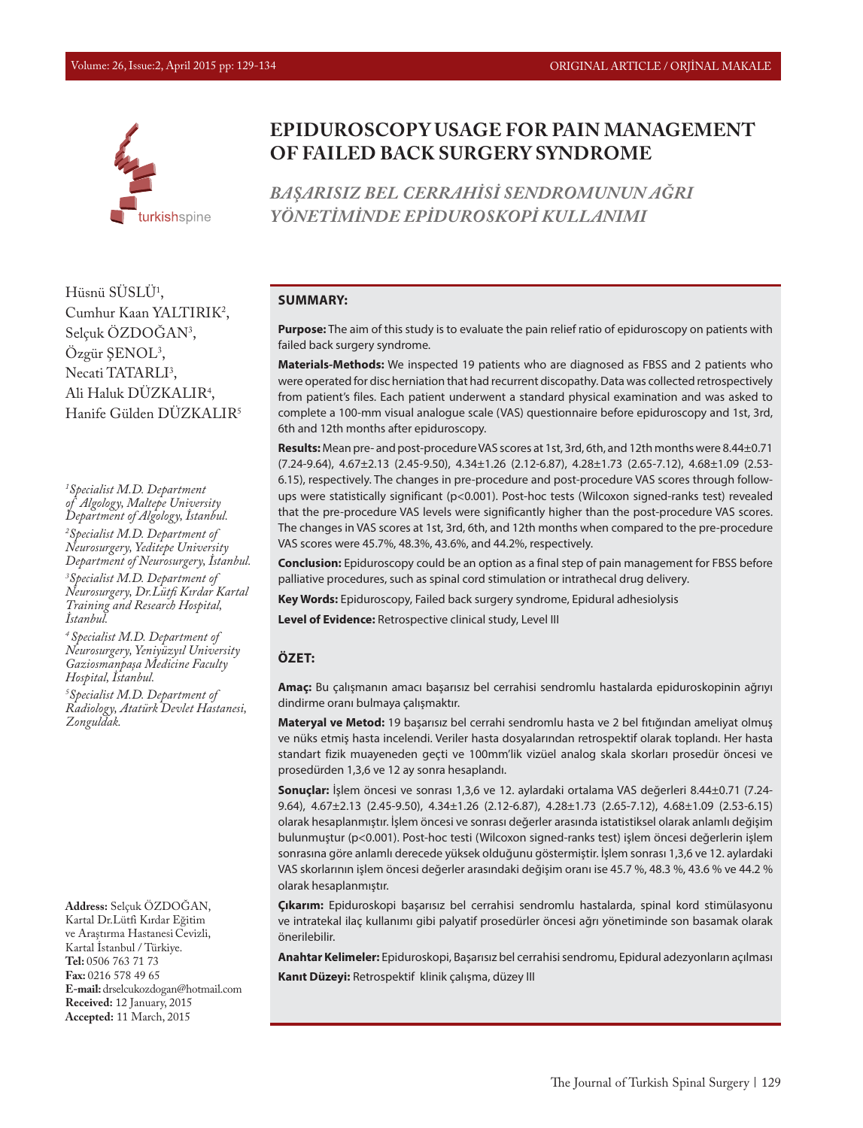

Hüsnü SUSLU<sup>1</sup>, Cumhur Kaan YALTIRIK2 , Selçuk ÖZDOGAN<sup>3</sup>, Ozgür ŞENOL<sup>3</sup>, Necati TATARLI<sup>3</sup>, Ali Haluk DUZKALIR<sup>4</sup>, Hanife Gülden DÜZKALIR5

*1 Specialist M.D. Department of Algology, Maltepe University Department of Algology, İstanbul. 2 Specialist M.D. Department of Neurosurgery, Yeditepe University Department of Neurosurgery, İstanbul.* 

*3 Specialist M.D. Department of Neurosurgery, Dr.Lütfi Kırdar Kartal Training and Research Hospital, İstanbul.* 

*4 Specialist M.D. Department of Neurosurgery, Yeniyüzyıl University Gaziosmanpaşa Medicine Faculty Hospital, İstanbul.*

*5 Specialist M.D. Department of Radiology, Atatürk Devlet Hastanesi, Zonguldak.*

**Address:** Selçuk ÖZDOĞAN, Kartal Dr.Lütfi Kırdar Eğitim ve Araştırma Hastanesi Cevizli, Kartal İstanbul / Türkiye. **Tel:** 0506 763 71 73 **Fax:** 0216 578 49 65 **E-mail:** drselcukozdogan@hotmail.com **Received:** 12 January, 2015 **Accepted:** 11 March, 2015

# **EPIDUROSCOPY USAGE FOR PAIN MANAGEMENT OF FAILED BACK SURGERY SYNDROME**

*BAŞARISIZ BEL CERRAHİSİ SENDROMUNUN AĞRI YÖNETİMİNDE EPİDUROSKOPİ KULLANIMI*

#### **SUMMARY:**

**Purpose:** The aim of this study is to evaluate the pain relief ratio of epiduroscopy on patients with failed back surgery syndrome.

**Materials-Methods:** We inspected 19 patients who are diagnosed as FBSS and 2 patients who were operated for disc herniation that had recurrent discopathy. Data was collected retrospectively from patient's files. Each patient underwent a standard physical examination and was asked to complete a 100-mm visual analogue scale (VAS) questionnaire before epiduroscopy and 1st, 3rd, 6th and 12th months after epiduroscopy.

**Results:** Mean pre- and post-procedure VAS scores at 1st, 3rd, 6th, and 12th months were 8.44±0.71 (7.24-9.64), 4.67±2.13 (2.45-9.50), 4.34±1.26 (2.12-6.87), 4.28±1.73 (2.65-7.12), 4.68±1.09 (2.53- 6.15), respectively. The changes in pre-procedure and post-procedure VAS scores through followups were statistically significant (p<0.001). Post-hoc tests (Wilcoxon signed-ranks test) revealed that the pre-procedure VAS levels were significantly higher than the post-procedure VAS scores. The changes in VAS scores at 1st, 3rd, 6th, and 12th months when compared to the pre-procedure VAS scores were 45.7%, 48.3%, 43.6%, and 44.2%, respectively.

**Conclusion:** Epiduroscopy could be an option as a final step of pain management for FBSS before palliative procedures, such as spinal cord stimulation or intrathecal drug delivery.

**Key Words:** Epiduroscopy, Failed back surgery syndrome, Epidural adhesiolysis

**Level of Evidence:** Retrospective clinical study, Level III

#### **ÖZET:**

**Amaç:** Bu çalışmanın amacı başarısız bel cerrahisi sendromlu hastalarda epiduroskopinin ağrıyı dindirme oranı bulmaya çalışmaktır.

**Materyal ve Metod:** 19 başarısız bel cerrahi sendromlu hasta ve 2 bel fıtığından ameliyat olmuş ve nüks etmiş hasta incelendi. Veriler hasta dosyalarından retrospektif olarak toplandı. Her hasta standart fizik muayeneden geçti ve 100mm'lik vizüel analog skala skorları prosedür öncesi ve prosedürden 1,3,6 ve 12 ay sonra hesaplandı.

**Sonuçlar:** İşlem öncesi ve sonrası 1,3,6 ve 12. aylardaki ortalama VAS değerleri 8.44±0.71 (7.24- 9.64), 4.67±2.13 (2.45-9.50), 4.34±1.26 (2.12-6.87), 4.28±1.73 (2.65-7.12), 4.68±1.09 (2.53-6.15) olarak hesaplanmıştır. İşlem öncesi ve sonrası değerler arasında istatistiksel olarak anlamlı değişim bulunmuştur (p<0.001). Post-hoc testi (Wilcoxon signed-ranks test) işlem öncesi değerlerin işlem sonrasına göre anlamlı derecede yüksek olduğunu göstermiştir. İşlem sonrası 1,3,6 ve 12. aylardaki VAS skorlarının işlem öncesi değerler arasındaki değişim oranı ise 45.7 %, 48.3 %, 43.6 % ve 44.2 % olarak hesaplanmıştır.

**Çıkarım:** Epiduroskopi başarısız bel cerrahisi sendromlu hastalarda, spinal kord stimülasyonu ve intratekal ilaç kullanımı gibi palyatif prosedürler öncesi ağrı yönetiminde son basamak olarak önerilebilir.

**Anahtar Kelimeler:** Epiduroskopi, Başarısız bel cerrahisi sendromu, Epidural adezyonların açılması **Kanıt Düzeyi:** Retrospektif klinik çalışma, düzey III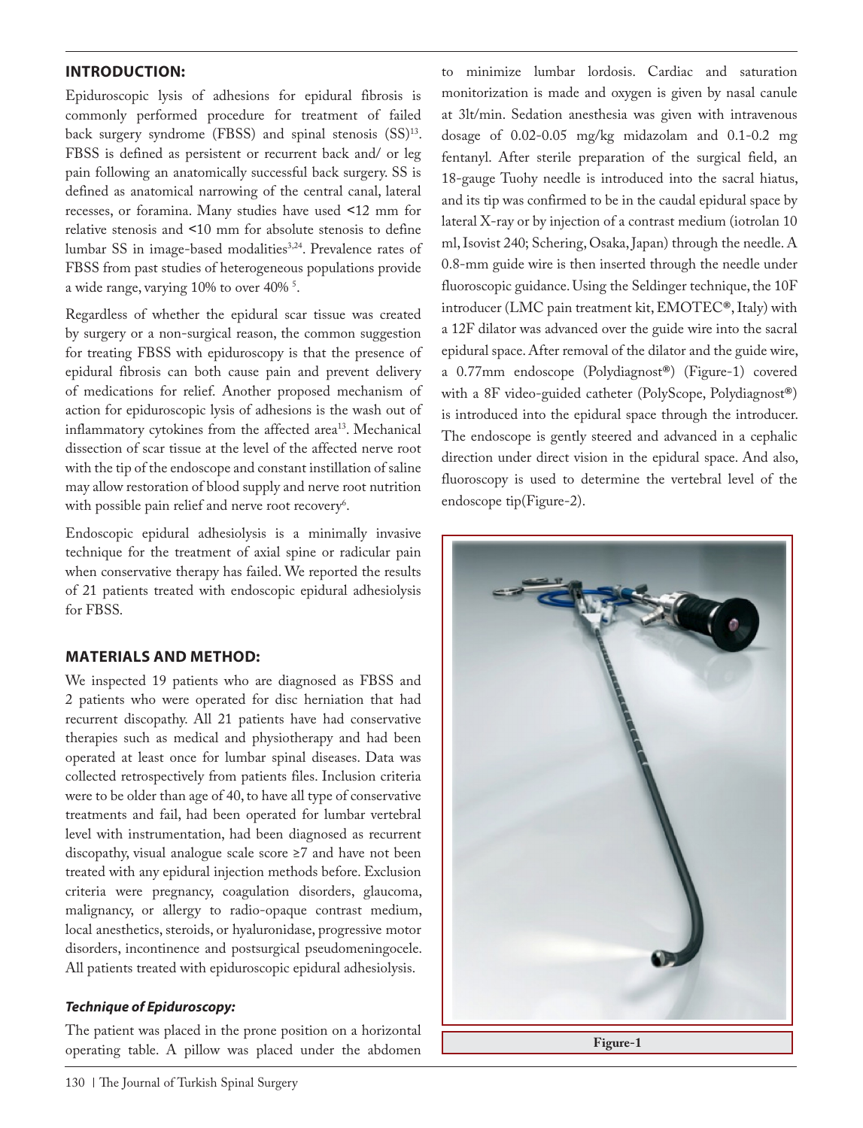## **INTRODUCTION:**

Epiduroscopic lysis of adhesions for epidural fibrosis is commonly performed procedure for treatment of failed back surgery syndrome (FBSS) and spinal stenosis (SS)<sup>13</sup>. FBSS is defined as persistent or recurrent back and/ or leg pain following an anatomically successful back surgery. SS is defined as anatomical narrowing of the central canal, lateral recesses, or foramina. Many studies have used ˂12 mm for relative stenosis and ˂10 mm for absolute stenosis to define lumbar SS in image-based modalities<sup>3,24</sup>. Prevalence rates of FBSS from past studies of heterogeneous populations provide a wide range, varying 10% to over 40% <sup>5</sup>.

Regardless of whether the epidural scar tissue was created by surgery or a non-surgical reason, the common suggestion for treating FBSS with epiduroscopy is that the presence of epidural fibrosis can both cause pain and prevent delivery of medications for relief. Another proposed mechanism of action for epiduroscopic lysis of adhesions is the wash out of inflammatory cytokines from the affected area<sup>13</sup>. Mechanical dissection of scar tissue at the level of the affected nerve root with the tip of the endoscope and constant instillation of saline may allow restoration of blood supply and nerve root nutrition with possible pain relief and nerve root recovery $\delta$ .

Endoscopic epidural adhesiolysis is a minimally invasive technique for the treatment of axial spine or radicular pain when conservative therapy has failed. We reported the results of 21 patients treated with endoscopic epidural adhesiolysis for FBSS.

## **MATERIALS AND METHOD:**

We inspected 19 patients who are diagnosed as FBSS and 2 patients who were operated for disc herniation that had recurrent discopathy. All 21 patients have had conservative therapies such as medical and physiotherapy and had been operated at least once for lumbar spinal diseases. Data was collected retrospectively from patients files. Inclusion criteria were to be older than age of 40, to have all type of conservative treatments and fail, had been operated for lumbar vertebral level with instrumentation, had been diagnosed as recurrent discopathy, visual analogue scale score ≥7 and have not been treated with any epidural injection methods before. Exclusion criteria were pregnancy, coagulation disorders, glaucoma, malignancy, or allergy to radio-opaque contrast medium, local anesthetics, steroids, or hyaluronidase, progressive motor disorders, incontinence and postsurgical pseudomeningocele. All patients treated with epiduroscopic epidural adhesiolysis.

## *Technique of Epiduroscopy:*

The patient was placed in the prone position on a horizontal operating table. A pillow was placed under the abdomen

to minimize lumbar lordosis. Cardiac and saturation monitorization is made and oxygen is given by nasal canule at 3lt/min. Sedation anesthesia was given with intravenous dosage of 0.02-0.05 mg/kg midazolam and 0.1-0.2 mg fentanyl. After sterile preparation of the surgical field, an 18-gauge Tuohy needle is introduced into the sacral hiatus, and its tip was confirmed to be in the caudal epidural space by lateral X-ray or by injection of a contrast medium (iotrolan 10 ml, Isovist 240; Schering, Osaka, Japan) through the needle. A 0.8-mm guide wire is then inserted through the needle under fluoroscopic guidance. Using the Seldinger technique, the 10F introducer (LMC pain treatment kit, EMOTEC**®**, Italy) with a 12F dilator was advanced over the guide wire into the sacral epidural space. After removal of the dilator and the guide wire, a 0.77mm endoscope (Polydiagnost**®**) (Figure-1) covered with a 8F video-guided catheter (PolyScope, Polydiagnost**®**) is introduced into the epidural space through the introducer. The endoscope is gently steered and advanced in a cephalic direction under direct vision in the epidural space. And also, fluoroscopy is used to determine the vertebral level of the endoscope tip(Figure-2).

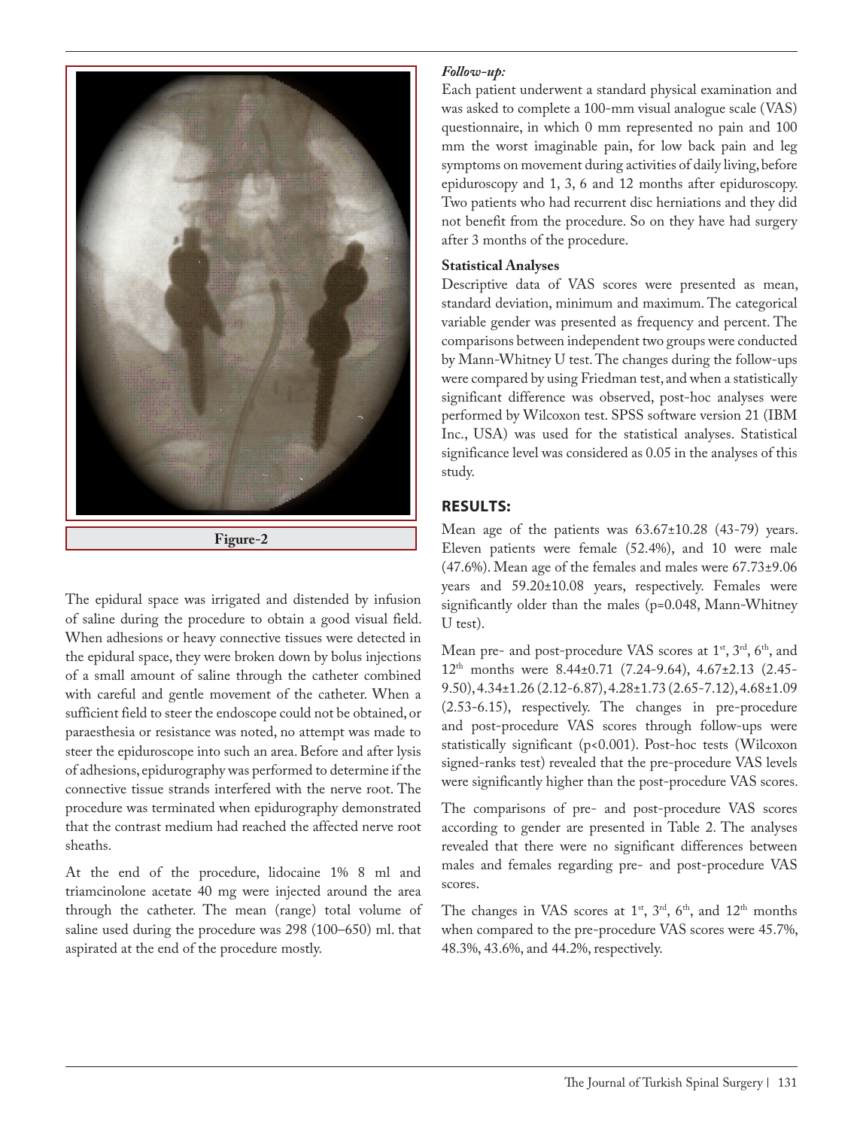

**Figure-2**

The epidural space was irrigated and distended by infusion of saline during the procedure to obtain a good visual field. When adhesions or heavy connective tissues were detected in the epidural space, they were broken down by bolus injections of a small amount of saline through the catheter combined with careful and gentle movement of the catheter. When a sufficient field to steer the endoscope could not be obtained, or paraesthesia or resistance was noted, no attempt was made to steer the epiduroscope into such an area. Before and after lysis of adhesions, epidurography was performed to determine if the connective tissue strands interfered with the nerve root. The procedure was terminated when epidurography demonstrated that the contrast medium had reached the affected nerve root sheaths.

At the end of the procedure, lidocaine 1% 8 ml and triamcinolone acetate 40 mg were injected around the area through the catheter. The mean (range) total volume of saline used during the procedure was 298 (100–650) ml. that aspirated at the end of the procedure mostly.

#### *Follow-up:*

Each patient underwent a standard physical examination and was asked to complete a 100-mm visual analogue scale (VAS) questionnaire, in which 0 mm represented no pain and 100 mm the worst imaginable pain, for low back pain and leg symptoms on movement during activities of daily living, before epiduroscopy and 1, 3, 6 and 12 months after epiduroscopy. Two patients who had recurrent disc herniations and they did not benefit from the procedure. So on they have had surgery after 3 months of the procedure.

## **Statistical Analyses**

Descriptive data of VAS scores were presented as mean, standard deviation, minimum and maximum. The categorical variable gender was presented as frequency and percent. The comparisons between independent two groups were conducted by Mann-Whitney U test. The changes during the follow-ups were compared by using Friedman test, and when a statistically significant difference was observed, post-hoc analyses were performed by Wilcoxon test. SPSS software version 21 (IBM Inc., USA) was used for the statistical analyses. Statistical significance level was considered as 0.05 in the analyses of this study.

## **RESULTS:**

Mean age of the patients was  $63.67 \pm 10.28$  (43-79) years. Eleven patients were female (52.4%), and 10 were male (47.6%). Mean age of the females and males were 67.73±9.06 years and 59.20±10.08 years, respectively. Females were significantly older than the males (p=0.048, Mann-Whitney U test).

Mean pre- and post-procedure VAS scores at 1<sup>st</sup>, 3<sup>rd</sup>, 6<sup>th</sup>, and 12th months were 8.44±0.71 (7.24-9.64), 4.67±2.13 (2.45- 9.50), 4.34±1.26 (2.12-6.87), 4.28±1.73 (2.65-7.12), 4.68±1.09 (2.53-6.15), respectively. The changes in pre-procedure and post-procedure VAS scores through follow-ups were statistically significant (p<0.001). Post-hoc tests (Wilcoxon signed-ranks test) revealed that the pre-procedure VAS levels were significantly higher than the post-procedure VAS scores.

The comparisons of pre- and post-procedure VAS scores according to gender are presented in Table 2. The analyses revealed that there were no significant differences between males and females regarding pre- and post-procedure VAS scores.

The changes in VAS scores at  $1<sup>st</sup>$ ,  $3<sup>rd</sup>$ ,  $6<sup>th</sup>$ , and  $12<sup>th</sup>$  months when compared to the pre-procedure VAS scores were 45.7%, 48.3%, 43.6%, and 44.2%, respectively.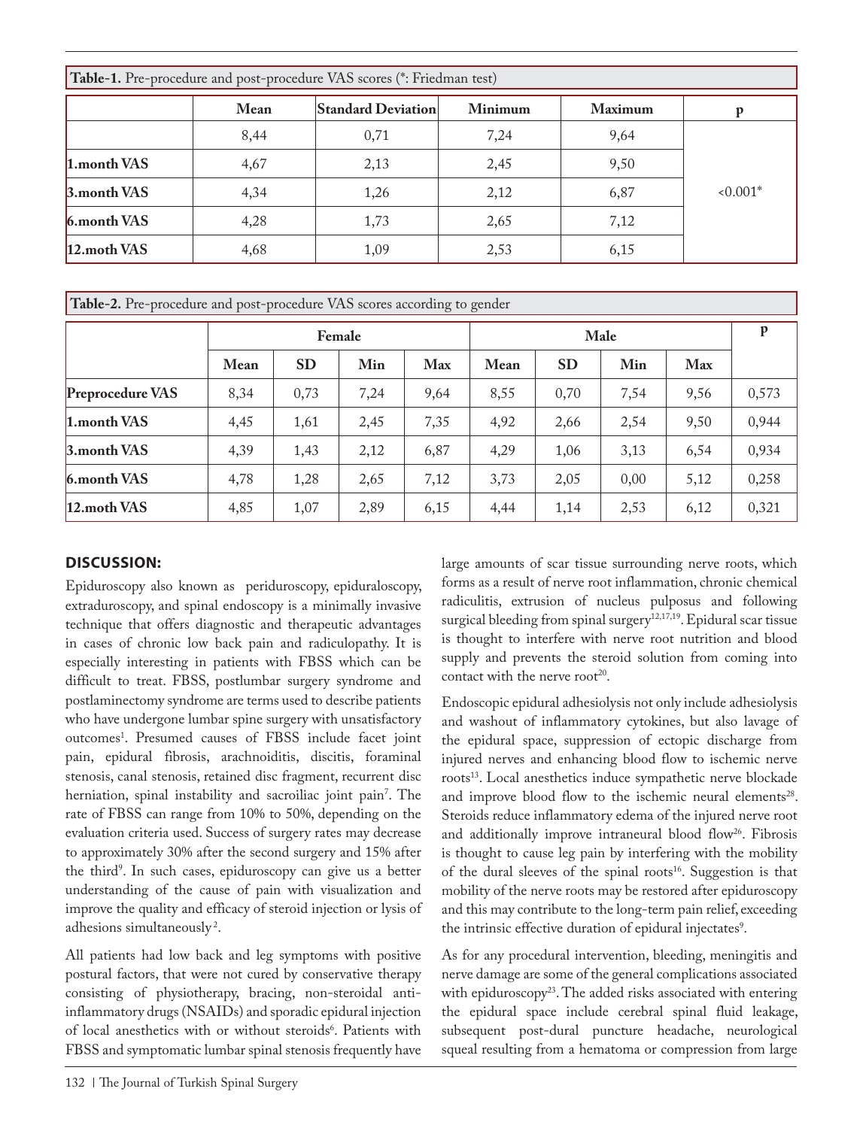| Table-1. Pre-procedure and post-procedure VAS scores (*: Friedman test) |      |                           |         |                |          |  |  |  |  |  |  |
|-------------------------------------------------------------------------|------|---------------------------|---------|----------------|----------|--|--|--|--|--|--|
|                                                                         | Mean | <b>Standard Deviation</b> | Minimum | <b>Maximum</b> |          |  |  |  |  |  |  |
|                                                                         | 8,44 | 0,71                      | 7,24    | 9,64           |          |  |  |  |  |  |  |
| 1.month VAS                                                             | 4,67 | 2,13                      | 2,45    | 9,50           |          |  |  |  |  |  |  |
| 3.month VAS                                                             | 4,34 | 1,26                      | 2,12    | 6,87           | $0.001*$ |  |  |  |  |  |  |
| 6.month VAS                                                             | 4,28 | 1,73                      | 2,65    | 7,12           |          |  |  |  |  |  |  |
| 12. moth VAS                                                            | 4,68 | 1,09                      | 2,53    | 6,15           |          |  |  |  |  |  |  |

| Table-2. Pre-procedure and post-procedure VAS scores according to gender |        |           |      |      |      |           |      |      |       |  |  |  |
|--------------------------------------------------------------------------|--------|-----------|------|------|------|-----------|------|------|-------|--|--|--|
|                                                                          | Female |           |      |      | Male |           |      | P    |       |  |  |  |
|                                                                          | Mean   | <b>SD</b> | Min  | Max  | Mean | <b>SD</b> | Min  | Max  |       |  |  |  |
| Preprocedure VAS                                                         | 8,34   | 0,73      | 7,24 | 9,64 | 8,55 | 0,70      | 7,54 | 9,56 | 0,573 |  |  |  |
| 1.month VAS                                                              | 4,45   | 1,61      | 2,45 | 7,35 | 4,92 | 2,66      | 2,54 | 9,50 | 0,944 |  |  |  |
| 3. month VAS                                                             | 4,39   | 1,43      | 2,12 | 6,87 | 4,29 | 1,06      | 3,13 | 6,54 | 0,934 |  |  |  |
| 6.month VAS                                                              | 4,78   | 1,28      | 2,65 | 7,12 | 3,73 | 2,05      | 0,00 | 5,12 | 0,258 |  |  |  |
| 12.moth VAS                                                              | 4,85   | 1,07      | 2,89 | 6,15 | 4,44 | 1,14      | 2,53 | 6,12 | 0,321 |  |  |  |

# **DISCUSSION:**

Epiduroscopy also known as periduroscopy, epiduraloscopy, extraduroscopy, and spinal endoscopy is a minimally invasive technique that offers diagnostic and therapeutic advantages in cases of chronic low back pain and radiculopathy. It is especially interesting in patients with FBSS which can be difficult to treat. FBSS, postlumbar surgery syndrome and postlaminectomy syndrome are terms used to describe patients who have undergone lumbar spine surgery with unsatisfactory outcomes1 . Presumed causes of FBSS include facet joint pain, epidural fibrosis, arachnoiditis, discitis, foraminal stenosis, canal stenosis, retained disc fragment, recurrent disc herniation, spinal instability and sacroiliac joint pain7 . The rate of FBSS can range from 10% to 50%, depending on the evaluation criteria used. Success of surgery rates may decrease to approximately 30% after the second surgery and 15% after the third<sup>9</sup>. In such cases, epiduroscopy can give us a better understanding of the cause of pain with visualization and improve the quality and efficacy of steroid injection or lysis of adhesions simultaneously 2.

All patients had low back and leg symptoms with positive postural factors, that were not cured by conservative therapy consisting of physiotherapy, bracing, non-steroidal antiinflammatory drugs (NSAIDs) and sporadic epidural injection of local anesthetics with or without steroids<sup>6</sup>. Patients with FBSS and symptomatic lumbar spinal stenosis frequently have

large amounts of scar tissue surrounding nerve roots, which forms as a result of nerve root inflammation, chronic chemical radiculitis, extrusion of nucleus pulposus and following surgical bleeding from spinal surgery<sup>12,17,19</sup>. Epidural scar tissue is thought to interfere with nerve root nutrition and blood supply and prevents the steroid solution from coming into contact with the nerve root<sup>20</sup>.

Endoscopic epidural adhesiolysis not only include adhesiolysis and washout of inflammatory cytokines, but also lavage of the epidural space, suppression of ectopic discharge from injured nerves and enhancing blood flow to ischemic nerve roots<sup>13</sup>. Local anesthetics induce sympathetic nerve blockade and improve blood flow to the ischemic neural elements<sup>28</sup>. Steroids reduce inflammatory edema of the injured nerve root and additionally improve intraneural blood flow<sup>26</sup>. Fibrosis is thought to cause leg pain by interfering with the mobility of the dural sleeves of the spinal roots<sup>16</sup>. Suggestion is that mobility of the nerve roots may be restored after epiduroscopy and this may contribute to the long-term pain relief, exceeding the intrinsic effective duration of epidural injectates<sup>9</sup>.

As for any procedural intervention, bleeding, meningitis and nerve damage are some of the general complications associated with epiduroscopy<sup>23</sup>. The added risks associated with entering the epidural space include cerebral spinal fluid leakage, subsequent post-dural puncture headache, neurological squeal resulting from a hematoma or compression from large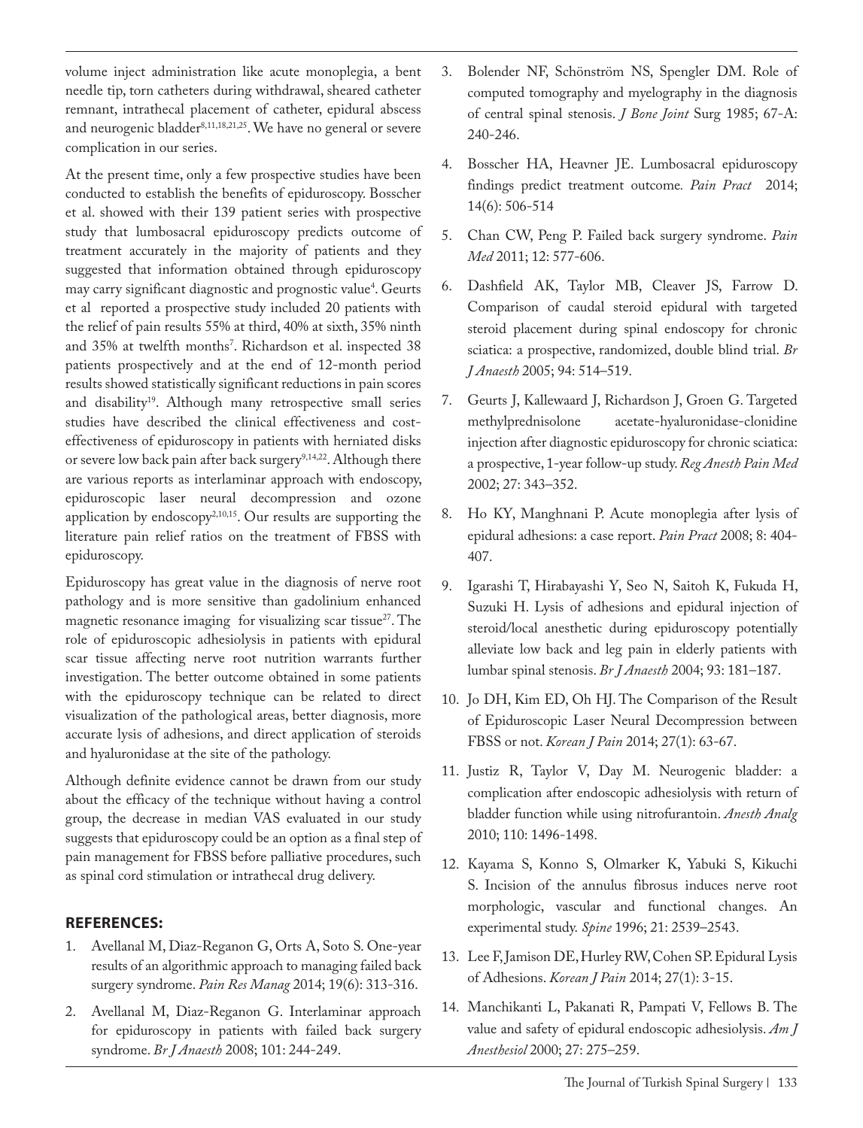volume inject administration like acute monoplegia, a bent needle tip, torn catheters during withdrawal, sheared catheter remnant, intrathecal placement of catheter, epidural abscess and neurogenic bladder<sup>8,11,18,21,25</sup>. We have no general or severe complication in our series.

At the present time, only a few prospective studies have been conducted to establish the benefits of epiduroscopy. Bosscher et al. showed with their 139 patient series with prospective study that lumbosacral epiduroscopy predicts outcome of treatment accurately in the majority of patients and they suggested that information obtained through epiduroscopy may carry significant diagnostic and prognostic value<sup>4</sup>. Geurts et al reported a prospective study included 20 patients with the relief of pain results 55% at third, 40% at sixth, 35% ninth and 35% at twelfth months'. Richardson et al. inspected 38 patients prospectively and at the end of 12-month period results showed statistically significant reductions in pain scores and disability<sup>19</sup>. Although many retrospective small series studies have described the clinical effectiveness and costeffectiveness of epiduroscopy in patients with herniated disks or severe low back pain after back surgery<sup>9,14,22</sup>. Although there are various reports as interlaminar approach with endoscopy, epiduroscopic laser neural decompression and ozone application by endoscopy<sup>2,10,15</sup>. Our results are supporting the literature pain relief ratios on the treatment of FBSS with epiduroscopy.

Epiduroscopy has great value in the diagnosis of nerve root pathology and is more sensitive than gadolinium enhanced magnetic resonance imaging for visualizing scar tissue<sup>27</sup>. The role of epiduroscopic adhesiolysis in patients with epidural scar tissue affecting nerve root nutrition warrants further investigation. The better outcome obtained in some patients with the epiduroscopy technique can be related to direct visualization of the pathological areas, better diagnosis, more accurate lysis of adhesions, and direct application of steroids and hyaluronidase at the site of the pathology.

Although definite evidence cannot be drawn from our study about the efficacy of the technique without having a control group, the decrease in median VAS evaluated in our study suggests that epiduroscopy could be an option as a final step of pain management for FBSS before palliative procedures, such as spinal cord stimulation or intrathecal drug delivery.

## **REFERENCES:**

- 1. Avellanal M, Diaz-Reganon G, Orts A, Soto S. One-year results of an algorithmic approach to managing failed back surgery syndrome. *Pain Res Manag* 2014; 19(6): 313-316.
- 2. Avellanal M, Diaz-Reganon G. Interlaminar approach for epiduroscopy in patients with failed back surgery syndrome. *Br J Anaesth* 2008; 101: 244-249.
- 3. Bolender NF, Schönström NS, Spengler DM. Role of computed tomography and myelography in the diagnosis of central spinal stenosis. *J Bone Joint* Surg 1985; 67-A: 240-246.
- 4. Bosscher HA, Heavner JE. Lumbosacral epiduroscopy findings predict treatment outcome*. Pain Pract* 2014; 14(6): 506-514
- 5. Chan CW, Peng P. Failed back surgery syndrome. *Pain Med* 2011; 12: 577-606.
- 6. Dashfield AK, Taylor MB, Cleaver JS, Farrow D. Comparison of caudal steroid epidural with targeted steroid placement during spinal endoscopy for chronic sciatica: a prospective, randomized, double blind trial. *Br J Anaesth* 2005; 94: 514–519.
- 7. Geurts J, Kallewaard J, Richardson J, Groen G. Targeted methylprednisolone acetate-hyaluronidase-clonidine injection after diagnostic epiduroscopy for chronic sciatica: a prospective, 1-year follow-up study. *Reg Anesth Pain Med*  2002; 27: 343–352.
- 8. Ho KY, Manghnani P. Acute monoplegia after lysis of epidural adhesions: a case report. *Pain Pract* 2008; 8: 404- 407.
- 9. Igarashi T, Hirabayashi Y, Seo N, Saitoh K, Fukuda H, Suzuki H. Lysis of adhesions and epidural injection of steroid/local anesthetic during epiduroscopy potentially alleviate low back and leg pain in elderly patients with lumbar spinal stenosis. *Br J Anaesth* 2004; 93: 181–187.
- 10. Jo DH, Kim ED, Oh HJ. The Comparison of the Result of Epiduroscopic Laser Neural Decompression between FBSS or not. *Korean J Pain* 2014; 27(1): 63-67.
- 11. Justiz R, Taylor V, Day M. Neurogenic bladder: a complication after endoscopic adhesiolysis with return of bladder function while using nitrofurantoin. *Anesth Analg* 2010; 110: 1496-1498.
- 12. Kayama S, Konno S, Olmarker K, Yabuki S, Kikuchi S. Incision of the annulus fibrosus induces nerve root morphologic, vascular and functional changes. An experimental study. *Spine* 1996; 21: 2539–2543.
- 13. Lee F, Jamison DE, Hurley RW, Cohen SP. Epidural Lysis of Adhesions. *Korean J Pain* 2014; 27(1): 3-15.
- 14. Manchikanti L, Pakanati R, Pampati V, Fellows B. The value and safety of epidural endoscopic adhesiolysis. *Am J Anesthesiol* 2000; 27: 275–259.